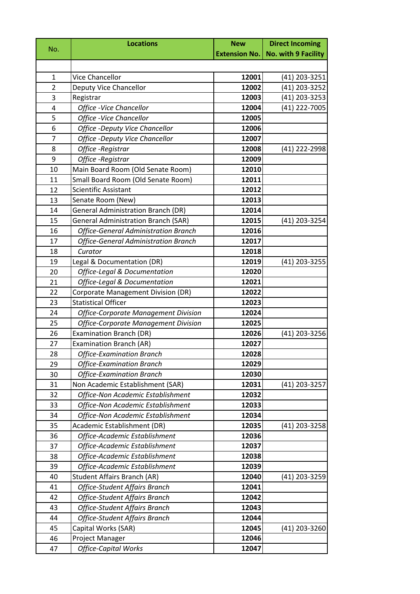| No.            | <b>Locations</b>                                                    | <b>New</b>           | <b>Direct Incoming</b> |
|----------------|---------------------------------------------------------------------|----------------------|------------------------|
|                |                                                                     | <b>Extension No.</b> | No. with 9 Facility    |
|                |                                                                     |                      |                        |
| $\mathbf{1}$   | Vice Chancellor                                                     | 12001                | (41) 203-3251          |
| $\overline{2}$ | Deputy Vice Chancellor                                              | 12002                | (41) 203-3252          |
| 3              | Registrar                                                           | 12003                | (41) 203-3253          |
| 4              | Office -Vice Chancellor                                             | 12004                | (41) 222-7005          |
| 5              | Office -Vice Chancellor                                             | 12005                |                        |
| 6              | Office -Deputy Vice Chancellor                                      | 12006                |                        |
| $\overline{7}$ | <b>Office -Deputy Vice Chancellor</b>                               | 12007                |                        |
| 8              | Office -Registrar                                                   | 12008                | (41) 222-2998          |
| 9              | Office -Registrar                                                   | 12009                |                        |
| 10             | Main Board Room (Old Senate Room)                                   | 12010                |                        |
| 11             | Small Board Room (Old Senate Room)                                  | 12011                |                        |
| 12             | <b>Scientific Assistant</b>                                         | 12012                |                        |
| 13             | Senate Room (New)                                                   | 12013                |                        |
| 14             | <b>General Administration Branch (DR)</b>                           | 12014                |                        |
| 15             | <b>General Administration Branch (SAR)</b>                          | 12015                | (41) 203-3254          |
| 16             | <b>Office-General Administration Branch</b>                         | 12016                |                        |
| 17             | <b>Office-General Administration Branch</b>                         | 12017                |                        |
| 18             | Curator                                                             | 12018                |                        |
| 19             | Legal & Documentation (DR)                                          | 12019                | (41) 203-3255          |
| 20             | Office-Legal & Documentation                                        | 12020                |                        |
| 21             | Office-Legal & Documentation                                        | 12021                |                        |
| 22             | <b>Corporate Management Division (DR)</b>                           | 12022                |                        |
| 23             | <b>Statistical Officer</b>                                          | 12023                |                        |
| 24             | Office-Corporate Management Division                                | 12024                |                        |
| 25             | Office-Corporate Management Division                                | 12025                |                        |
| 26             | <b>Examination Branch (DR)</b>                                      | 12026                | (41) 203-3256          |
| 27             | <b>Examination Branch (AR)</b>                                      | 12027                |                        |
| 28             | <b>Office-Examination Branch</b>                                    | 12028                |                        |
| 29             | <b>Office-Examination Branch</b>                                    | 12029                |                        |
| 30             | <b>Office-Examination Branch</b>                                    | 12030                |                        |
| 31             | Non Academic Establishment (SAR)                                    | 12031                | (41) 203-3257          |
| 32             | Office-Non Academic Establishment                                   | 12032                |                        |
| 33             | Office-Non Academic Establishment                                   | 12033                |                        |
| 34             | Office-Non Academic Establishment                                   | 12034                |                        |
| 35             | Academic Establishment (DR)                                         | 12035                | (41) 203-3258          |
| 36             | Office-Academic Establishment                                       | 12036                |                        |
| 37             | Office-Academic Establishment                                       | 12037                |                        |
| 38             | Office-Academic Establishment                                       | 12038<br>12039       |                        |
| 39             | Office-Academic Establishment                                       |                      |                        |
| 40<br>41       | <b>Student Affairs Branch (AR)</b><br>Office-Student Affairs Branch | 12040<br>12041       | (41) 203-3259          |
| 42             | <b>Office-Student Affairs Branch</b>                                | 12042                |                        |
| 43             | <b>Office-Student Affairs Branch</b>                                | 12043                |                        |
| 44             | <b>Office-Student Affairs Branch</b>                                | 12044                |                        |
| 45             | Capital Works (SAR)                                                 | 12045                | (41) 203-3260          |
| 46             | Project Manager                                                     | 12046                |                        |
| 47             | <b>Office-Capital Works</b>                                         | 12047                |                        |
|                |                                                                     |                      |                        |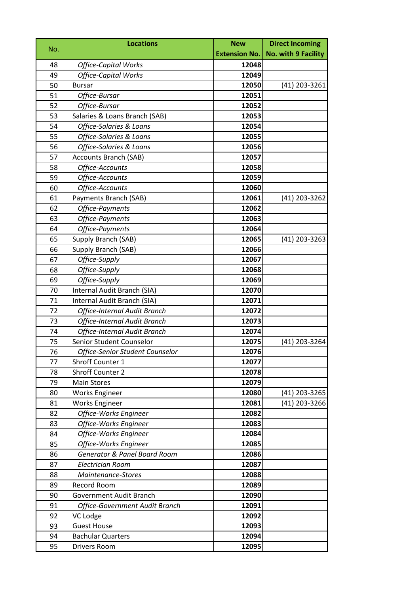|     | <b>Locations</b>                    | <b>New</b>           | <b>Direct Incoming</b>     |
|-----|-------------------------------------|----------------------|----------------------------|
| No. |                                     | <b>Extension No.</b> | <b>No. with 9 Facility</b> |
| 48  | <b>Office-Capital Works</b>         | 12048                |                            |
| 49  | <b>Office-Capital Works</b>         | 12049                |                            |
| 50  | <b>Bursar</b>                       | 12050                | (41) 203-3261              |
| 51  | Office-Bursar                       | 12051                |                            |
| 52  | Office-Bursar                       | 12052                |                            |
| 53  | Salaries & Loans Branch (SAB)       | 12053                |                            |
| 54  | Office-Salaries & Loans             | 12054                |                            |
| 55  | <b>Office-Salaries &amp; Loans</b>  | 12055                |                            |
| 56  | Office-Salaries & Loans             | 12056                |                            |
| 57  | <b>Accounts Branch (SAB)</b>        | 12057                |                            |
| 58  | Office-Accounts                     | 12058                |                            |
| 59  | Office-Accounts                     | 12059                |                            |
| 60  | Office-Accounts                     | 12060                |                            |
| 61  | Payments Branch (SAB)               | 12061                | (41) 203-3262              |
| 62  | Office-Payments                     | 12062                |                            |
| 63  | Office-Payments                     | 12063                |                            |
| 64  | Office-Payments                     | 12064                |                            |
| 65  | Supply Branch (SAB)                 | 12065                | $(41)$ 203-3263            |
| 66  | Supply Branch (SAB)                 | 12066                |                            |
| 67  | Office-Supply                       | 12067                |                            |
| 68  | Office-Supply                       | 12068                |                            |
| 69  | Office-Supply                       | 12069                |                            |
| 70  | Internal Audit Branch (SIA)         | 12070                |                            |
| 71  | Internal Audit Branch (SIA)         | 12071                |                            |
| 72  | <b>Office-Internal Audit Branch</b> | 12072                |                            |
| 73  | Office-Internal Audit Branch        | 12073                |                            |
| 74  | <b>Office-Internal Audit Branch</b> | 12074                |                            |
| 75  | Senior Student Counselor            | 12075                | (41) 203-3264              |
| 76  | Office-Senior Student Counselor     | 12076                |                            |
| 77  | Shroff Counter 1                    | 12077                |                            |
| 78  | Shroff Counter 2                    | 12078                |                            |
| 79  | <b>Main Stores</b>                  | 12079                |                            |
| 80  | <b>Works Engineer</b>               | 12080                | (41) 203-3265              |
| 81  | <b>Works Engineer</b>               | 12081                | (41) 203-3266              |
| 82  | Office-Works Engineer               | 12082                |                            |
| 83  | Office-Works Engineer               | 12083                |                            |
| 84  | Office-Works Engineer               | 12084                |                            |
| 85  | Office-Works Engineer               | 12085                |                            |
| 86  | Generator & Panel Board Room        | 12086                |                            |
| 87  | <b>Electrician Room</b>             | 12087                |                            |
| 88  | Maintenance-Stores                  | 12088                |                            |
| 89  | Record Room                         | 12089                |                            |
| 90  | Government Audit Branch             | 12090                |                            |
| 91  | Office-Government Audit Branch      | 12091                |                            |
| 92  | VC Lodge                            | 12092                |                            |
| 93  | <b>Guest House</b>                  | 12093                |                            |
| 94  | <b>Bachular Quarters</b>            | 12094                |                            |
| 95  | Drivers Room                        | 12095                |                            |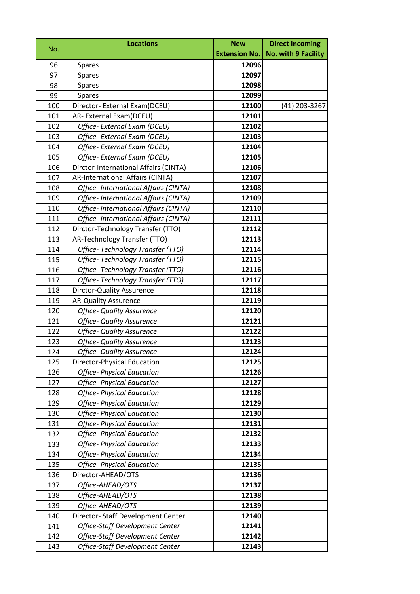| No. | <b>Locations</b>                        | <b>New</b>           | <b>Direct Incoming</b>     |
|-----|-----------------------------------------|----------------------|----------------------------|
|     |                                         | <b>Extension No.</b> | <b>No. with 9 Facility</b> |
| 96  | <b>Spares</b>                           | 12096                |                            |
| 97  | Spares                                  | 12097                |                            |
| 98  | <b>Spares</b>                           | 12098                |                            |
| 99  | <b>Spares</b>                           | 12099                |                            |
| 100 | Director- External Exam(DCEU)           | 12100                | (41) 203-3267              |
| 101 | AR-External Exam(DCEU)                  | 12101                |                            |
| 102 | Office- External Exam (DCEU)            | 12102                |                            |
| 103 | Office- External Exam (DCEU)            | 12103                |                            |
| 104 | Office- External Exam (DCEU)            | 12104                |                            |
| 105 | Office- External Exam (DCEU)            | 12105                |                            |
| 106 | Dirctor-International Affairs (CINTA)   | 12106                |                            |
| 107 | <b>AR-International Affairs (CINTA)</b> | 12107                |                            |
| 108 | Office- International Affairs (CINTA)   | 12108                |                            |
| 109 | Office- International Affairs (CINTA)   | 12109                |                            |
| 110 | Office- International Affairs (CINTA)   | 12110                |                            |
| 111 | Office- International Affairs (CINTA)   | 12111                |                            |
| 112 | Dirctor-Technology Transfer (TTO)       | 12112                |                            |
| 113 | AR-Technology Transfer (TTO)            | 12113                |                            |
| 114 | Office-Technology Transfer (TTO)        | 12114                |                            |
| 115 | Office-Technology Transfer (TTO)        | 12115                |                            |
| 116 | Office-Technology Transfer (TTO)        | 12116                |                            |
| 117 | Office-Technology Transfer (TTO)        | 12117                |                            |
| 118 | <b>Dirctor-Quality Assurence</b>        | 12118                |                            |
| 119 | <b>AR-Quality Assurence</b>             | 12119                |                            |
| 120 | <b>Office- Quality Assurence</b>        | 12120                |                            |
| 121 | <b>Office- Quality Assurence</b>        | 12121                |                            |
| 122 | <b>Office- Quality Assurence</b>        | 12122                |                            |
| 123 | <b>Office- Quality Assurence</b>        | 12123                |                            |
| 124 | <b>Office- Quality Assurence</b>        | 12124                |                            |
| 125 | Director-Physical Education             | 12125                |                            |
| 126 | <b>Office- Physical Education</b>       | 12126                |                            |
| 127 | <b>Office- Physical Education</b>       | 12127                |                            |
| 128 | <b>Office- Physical Education</b>       | 12128                |                            |
| 129 | <b>Office- Physical Education</b>       | 12129                |                            |
| 130 | <b>Office- Physical Education</b>       | 12130                |                            |
| 131 | <b>Office- Physical Education</b>       | 12131                |                            |
| 132 | <b>Office- Physical Education</b>       | 12132                |                            |
| 133 | <b>Office- Physical Education</b>       | 12133                |                            |
| 134 | <b>Office- Physical Education</b>       | 12134                |                            |
| 135 | <b>Office- Physical Education</b>       | 12135                |                            |
| 136 | Director-AHEAD/OTS                      | 12136                |                            |
| 137 | Office-AHEAD/OTS                        | 12137                |                            |
| 138 | Office-AHEAD/OTS                        | 12138                |                            |
| 139 | Office-AHEAD/OTS                        | 12139                |                            |
| 140 | Director- Staff Development Center      | 12140                |                            |
| 141 | Office-Staff Development Center         | 12141                |                            |
| 142 | Office-Staff Development Center         | 12142                |                            |
| 143 | Office-Staff Development Center         | 12143                |                            |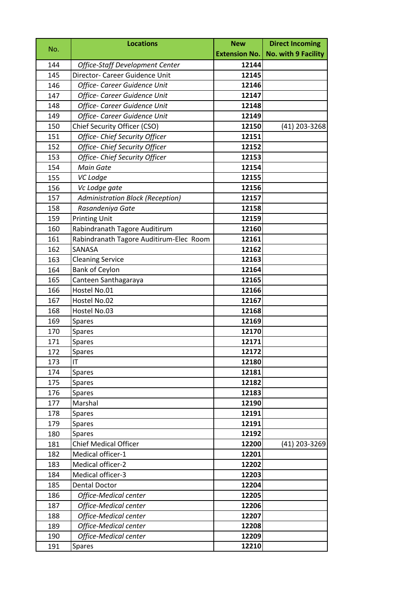| No. | <b>Locations</b>                        | <b>New</b>           | <b>Direct Incoming</b>     |
|-----|-----------------------------------------|----------------------|----------------------------|
|     |                                         | <b>Extension No.</b> | <b>No. with 9 Facility</b> |
| 144 | Office-Staff Development Center         | 12144                |                            |
| 145 | Director- Career Guidence Unit          | 12145                |                            |
| 146 | Office- Career Guidence Unit            | 12146                |                            |
| 147 | Office- Career Guidence Unit            | 12147                |                            |
| 148 | Office- Career Guidence Unit            | 12148                |                            |
| 149 | Office- Career Guidence Unit            | 12149                |                            |
| 150 | Chief Security Officer (CSO)            | 12150                | (41) 203-3268              |
| 151 | Office- Chief Security Officer          | 12151                |                            |
| 152 | Office- Chief Security Officer          | 12152                |                            |
| 153 | Office- Chief Security Officer          | 12153                |                            |
| 154 | <b>Main Gate</b>                        | 12154                |                            |
| 155 | VC Lodge                                | 12155                |                            |
| 156 | Vc Lodge gate                           | 12156                |                            |
| 157 | <b>Administration Block (Reception)</b> | 12157                |                            |
| 158 | Rasandeniya Gate                        | 12158                |                            |
| 159 | <b>Printing Unit</b>                    | 12159                |                            |
| 160 | Rabindranath Tagore Auditirum           | 12160                |                            |
| 161 | Rabindranath Tagore Auditirum-Elec Room | 12161                |                            |
| 162 | SANASA                                  | 12162                |                            |
| 163 | <b>Cleaning Service</b>                 | 12163                |                            |
| 164 | <b>Bank of Ceylon</b>                   | 12164                |                            |
| 165 | Canteen Santhagaraya                    | 12165                |                            |
| 166 | Hostel No.01                            | 12166                |                            |
| 167 | Hostel No.02                            | 12167                |                            |
| 168 | Hostel No.03                            | 12168                |                            |
| 169 | <b>Spares</b>                           | 12169                |                            |
| 170 | <b>Spares</b>                           | 12170                |                            |
| 171 | <b>Spares</b>                           | 12171                |                            |
| 172 | Spares                                  | 12172                |                            |
| 173 | IT                                      | 12180                |                            |
| 174 | <b>Spares</b>                           | 12181                |                            |
| 175 | Spares                                  | 12182                |                            |
| 176 | Spares                                  | 12183                |                            |
| 177 | Marshal                                 | 12190                |                            |
| 178 | Spares                                  | 12191                |                            |
| 179 | <b>Spares</b>                           | 12191                |                            |
| 180 | <b>Spares</b>                           | 12192                |                            |
| 181 | <b>Chief Medical Officer</b>            | 12200                | (41) 203-3269              |
| 182 | Medical officer-1                       | 12201                |                            |
| 183 | Medical officer-2                       | 12202                |                            |
| 184 | Medical officer-3                       | 12203                |                            |
| 185 | <b>Dental Doctor</b>                    | 12204                |                            |
| 186 | Office-Medical center                   | 12205                |                            |
| 187 | Office-Medical center                   | 12206                |                            |
| 188 | Office-Medical center                   | 12207                |                            |
| 189 | Office-Medical center                   | 12208                |                            |
| 190 | Office-Medical center                   | 12209                |                            |
| 191 | <b>Spares</b>                           | 12210                |                            |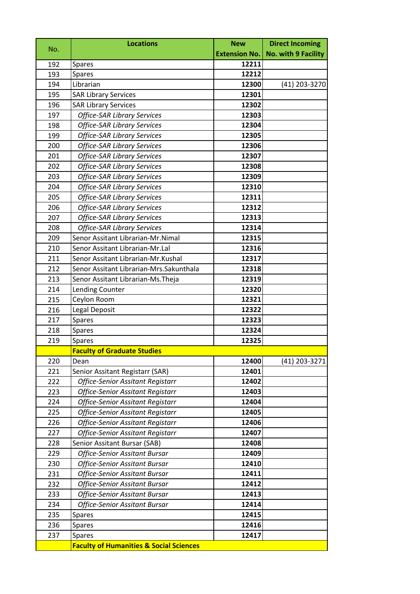| No. | <b>Locations</b>                                   | <b>New</b>           | <b>Direct Incoming</b> |
|-----|----------------------------------------------------|----------------------|------------------------|
|     |                                                    | <b>Extension No.</b> | No. with 9 Facility    |
| 192 | Spares                                             | 12211                |                        |
| 193 | Spares                                             | 12212                |                        |
| 194 | Librarian                                          | 12300                | (41) 203-3270          |
| 195 | <b>SAR Library Services</b>                        | 12301                |                        |
| 196 | <b>SAR Library Services</b>                        | 12302                |                        |
| 197 | <b>Office-SAR Library Services</b>                 | 12303                |                        |
| 198 | <b>Office-SAR Library Services</b>                 | 12304                |                        |
| 199 | <b>Office-SAR Library Services</b>                 | 12305                |                        |
| 200 | <b>Office-SAR Library Services</b>                 | 12306                |                        |
| 201 | <b>Office-SAR Library Services</b>                 | 12307                |                        |
| 202 | <b>Office-SAR Library Services</b>                 | 12308                |                        |
| 203 | <b>Office-SAR Library Services</b>                 | 12309                |                        |
| 204 | <b>Office-SAR Library Services</b>                 | 12310                |                        |
| 205 | <b>Office-SAR Library Services</b>                 | 12311                |                        |
| 206 | <b>Office-SAR Library Services</b>                 | 12312                |                        |
| 207 | <b>Office-SAR Library Services</b>                 | 12313                |                        |
| 208 | <b>Office-SAR Library Services</b>                 | 12314                |                        |
| 209 | Senor Assitant Librarian-Mr.Nimal                  | 12315                |                        |
| 210 | Senor Assitant Librarian-Mr.Lal                    | 12316                |                        |
| 211 | Senor Assitant Librarian-Mr.Kushal                 | 12317                |                        |
| 212 | Senor Assitant Librarian-Mrs.Sakunthala            | 12318                |                        |
| 213 | Senor Assitant Librarian-Ms. Theja                 | 12319                |                        |
| 214 | Lending Counter                                    | 12320                |                        |
| 215 | Ceylon Room                                        | 12321                |                        |
| 216 | Legal Deposit                                      | 12322                |                        |
| 217 | Spares                                             | 12323                |                        |
| 218 | Spares                                             | 12324                |                        |
| 219 | Spares                                             | 12325                |                        |
|     | <b>Faculty of Graduate Studies</b>                 |                      |                        |
| 220 | Dean                                               | 12400                | (41) 203-3271          |
| 221 | Senior Assitant Registarr (SAR)                    | 12401                |                        |
| 222 | <b>Office-Senior Assitant Registarr</b>            | 12402                |                        |
| 223 | <b>Office-Senior Assitant Registarr</b>            | 12403                |                        |
| 224 | <b>Office-Senior Assitant Registarr</b>            | 12404                |                        |
| 225 | <b>Office-Senior Assitant Registarr</b>            | 12405                |                        |
| 226 | <b>Office-Senior Assitant Registarr</b>            | 12406                |                        |
| 227 | <b>Office-Senior Assitant Registarr</b>            | 12407                |                        |
| 228 | Senior Assitant Bursar (SAB)                       | 12408                |                        |
| 229 | <b>Office-Senior Assitant Bursar</b>               | 12409                |                        |
| 230 | <b>Office-Senior Assitant Bursar</b>               | 12410                |                        |
| 231 | <b>Office-Senior Assitant Bursar</b>               | 12411                |                        |
| 232 | <b>Office-Senior Assitant Bursar</b>               | 12412                |                        |
| 233 | <b>Office-Senior Assitant Bursar</b>               | 12413                |                        |
| 234 | <b>Office-Senior Assitant Bursar</b>               | 12414                |                        |
| 235 | Spares                                             | 12415                |                        |
| 236 | <b>Spares</b>                                      | 12416                |                        |
| 237 | <b>Spares</b>                                      | 12417                |                        |
|     | <b>Faculty of Humanities &amp; Social Sciences</b> |                      |                        |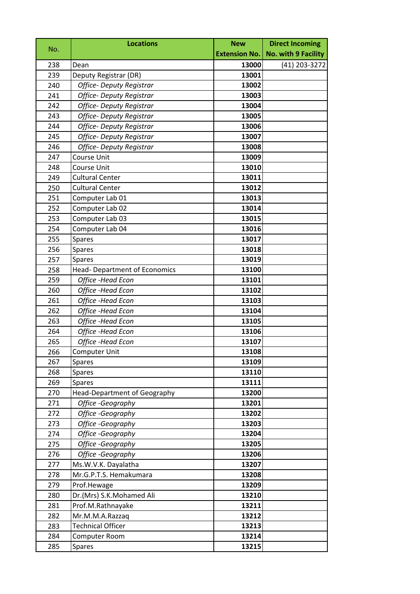|     | <b>Locations</b>                     | <b>New</b>           | <b>Direct Incoming</b> |
|-----|--------------------------------------|----------------------|------------------------|
| No. |                                      | <b>Extension No.</b> | No. with 9 Facility    |
| 238 | Dean                                 | 13000                | (41) 203-3272          |
| 239 | Deputy Registrar (DR)                | 13001                |                        |
| 240 | Office- Deputy Registrar             | 13002                |                        |
| 241 | <b>Office- Deputy Registrar</b>      | 13003                |                        |
| 242 | <b>Office- Deputy Registrar</b>      | 13004                |                        |
| 243 | Office- Deputy Registrar             | 13005                |                        |
| 244 | <b>Office- Deputy Registrar</b>      | 13006                |                        |
| 245 | <b>Office- Deputy Registrar</b>      | 13007                |                        |
| 246 | <b>Office- Deputy Registrar</b>      | 13008                |                        |
| 247 | Course Unit                          | 13009                |                        |
| 248 | <b>Course Unit</b>                   | 13010                |                        |
| 249 | <b>Cultural Center</b>               | 13011                |                        |
| 250 | <b>Cultural Center</b>               | 13012                |                        |
| 251 | Computer Lab 01                      | 13013                |                        |
| 252 | Computer Lab 02                      | 13014                |                        |
| 253 | Computer Lab 03                      | 13015                |                        |
| 254 | Computer Lab 04                      | 13016                |                        |
| 255 | Spares                               | 13017                |                        |
| 256 | <b>Spares</b>                        | 13018                |                        |
| 257 | <b>Spares</b>                        | 13019                |                        |
| 258 | <b>Head- Department of Economics</b> | 13100                |                        |
| 259 | Office -Head Econ                    | 13101                |                        |
| 260 | Office -Head Econ                    | 13102                |                        |
| 261 | Office -Head Econ                    | 13103                |                        |
| 262 | Office -Head Econ                    | 13104                |                        |
| 263 | Office -Head Econ                    | 13105                |                        |
| 264 | Office -Head Econ                    | 13106                |                        |
| 265 | Office -Head Econ                    | 13107                |                        |
| 266 | <b>Computer Unit</b>                 | 13108                |                        |
| 267 | Spares                               | 13109                |                        |
| 268 | <b>Spares</b>                        | 13110                |                        |
| 269 | Spares                               | 13111                |                        |
| 270 | <b>Head-Department of Geography</b>  | 13200                |                        |
| 271 | Office -Geography                    | 13201                |                        |
| 272 | Office -Geography                    | 13202                |                        |
| 273 | Office -Geography                    | 13203                |                        |
| 274 | Office -Geography                    | 13204                |                        |
| 275 | Office -Geography                    | 13205                |                        |
| 276 | Office -Geography                    | 13206                |                        |
| 277 | Ms.W.V.K. Dayalatha                  | 13207                |                        |
| 278 | Mr.G.P.T.S. Hemakumara               | 13208                |                        |
| 279 | Prof.Hewage                          | 13209                |                        |
| 280 | Dr.(Mrs) S.K.Mohamed Ali             | 13210                |                        |
| 281 | Prof.M.Rathnayake                    | 13211                |                        |
| 282 | Mr.M.M.A.Razzaq                      | 13212                |                        |
| 283 | <b>Technical Officer</b>             | 13213                |                        |
| 284 | Computer Room                        | 13214                |                        |
| 285 | <b>Spares</b>                        | 13215                |                        |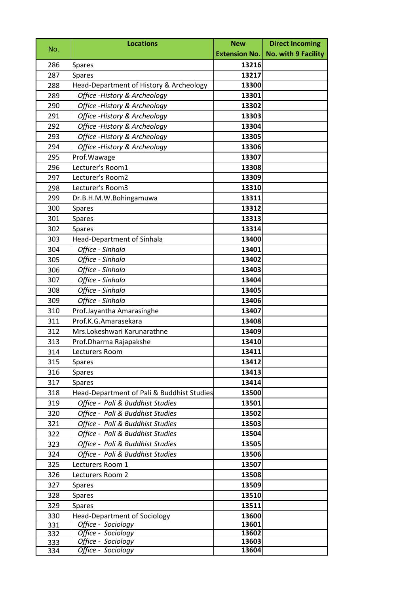|     | <b>Locations</b>                           | <b>New</b>           | <b>Direct Incoming</b> |
|-----|--------------------------------------------|----------------------|------------------------|
| No. |                                            | <b>Extension No.</b> | No. with 9 Facility    |
| 286 | <b>Spares</b>                              | 13216                |                        |
| 287 | <b>Spares</b>                              | 13217                |                        |
| 288 | Head-Department of History & Archeology    | 13300                |                        |
| 289 | Office - History & Archeology              | 13301                |                        |
| 290 | Office - History & Archeology              | 13302                |                        |
| 291 | Office - History & Archeology              | 13303                |                        |
| 292 | Office - History & Archeology              | 13304                |                        |
| 293 | Office - History & Archeology              | 13305                |                        |
| 294 | Office - History & Archeology              | 13306                |                        |
| 295 | Prof. Wawage                               | 13307                |                        |
| 296 | Lecturer's Room1                           | 13308                |                        |
| 297 | Lecturer's Room2                           | 13309                |                        |
| 298 | Lecturer's Room3                           | 13310                |                        |
| 299 | Dr.B.H.M.W.Bohingamuwa                     | 13311                |                        |
| 300 | <b>Spares</b>                              | 13312                |                        |
| 301 | <b>Spares</b>                              | 13313                |                        |
| 302 | <b>Spares</b>                              | 13314                |                        |
| 303 | <b>Head-Department of Sinhala</b>          | 13400                |                        |
| 304 | Office - Sinhala                           | 13401                |                        |
| 305 | Office - Sinhala                           | 13402                |                        |
| 306 | Office - Sinhala                           | 13403                |                        |
| 307 | Office - Sinhala                           | 13404                |                        |
| 308 | Office - Sinhala                           | 13405                |                        |
| 309 | Office - Sinhala                           | 13406                |                        |
| 310 | Prof.Jayantha Amarasinghe                  | 13407                |                        |
| 311 | Prof.K.G.Amarasekara                       | 13408                |                        |
| 312 | Mrs.Lokeshwari Karunarathne                | 13409                |                        |
| 313 | Prof.Dharma Rajapakshe                     | 13410                |                        |
| 314 | Lecturers Room                             | 13411                |                        |
| 315 | Spares                                     | 13412                |                        |
| 316 | Spares                                     | 13413                |                        |
| 317 | <b>Spares</b>                              | 13414                |                        |
| 318 | Head-Department of Pali & Buddhist Studies | 13500                |                        |
| 319 | Office - Pali & Buddhist Studies           | 13501                |                        |
| 320 | Office - Pali & Buddhist Studies           | 13502                |                        |
| 321 | Office - Pali & Buddhist Studies           | 13503                |                        |
| 322 | Office - Pali & Buddhist Studies           | 13504                |                        |
| 323 | Office - Pali & Buddhist Studies           | 13505                |                        |
| 324 | Office - Pali & Buddhist Studies           | 13506                |                        |
| 325 | Lecturers Room 1                           | 13507                |                        |
| 326 | Lecturers Room 2                           | 13508                |                        |
| 327 | Spares                                     | 13509                |                        |
| 328 | Spares                                     | 13510                |                        |
| 329 | <b>Spares</b>                              | 13511                |                        |
| 330 | <b>Head-Department of Sociology</b>        | 13600                |                        |
| 331 | Office - Sociology                         | 13601                |                        |
| 332 | Office - Sociology                         | 13602                |                        |
| 333 | Office - Sociology                         | 13603<br>13604       |                        |
| 334 | Office - Sociology                         |                      |                        |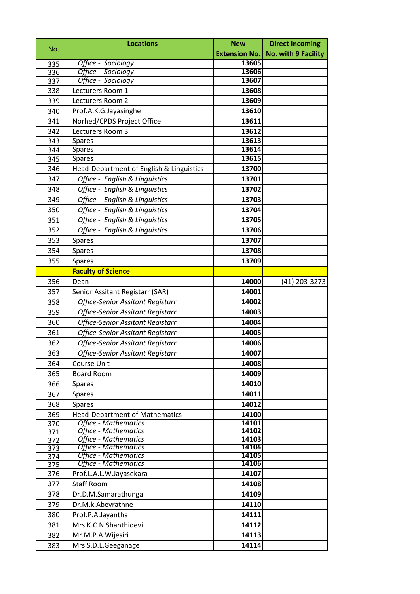| No.        | <b>Locations</b>                                           | <b>New</b>           | <b>Direct Incoming</b>     |
|------------|------------------------------------------------------------|----------------------|----------------------------|
|            |                                                            | <b>Extension No.</b> | <b>No. with 9 Facility</b> |
| 335        | Office - Sociology                                         | 13605                |                            |
| 336        | Office - Sociology                                         | 13606                |                            |
| 337        | Office - Sociology                                         | 13607                |                            |
| 338        | Lecturers Room 1                                           | 13608                |                            |
| 339        | Lecturers Room 2                                           | 13609                |                            |
| 340        | Prof.A.K.G.Jayasinghe                                      | 13610                |                            |
| 341        | Norhed/CPDS Project Office                                 | 13611                |                            |
| 342        | Lecturers Room 3                                           | 13612                |                            |
| 343        | <b>Spares</b>                                              | 13613                |                            |
| 344        | <b>Spares</b>                                              | 13614                |                            |
| 345        | <b>Spares</b>                                              | 13615                |                            |
| 346        | Head-Department of English & Linguistics                   | 13700                |                            |
| 347        | Office - English & Linguistics                             | 13701                |                            |
| 348        | Office - English & Linguistics                             | 13702                |                            |
| 349        | Office - English & Linguistics                             | 13703                |                            |
| 350        | Office - English & Linguistics                             | 13704                |                            |
| 351        | Office - English & Linguistics                             | 13705                |                            |
| 352        | Office - English & Linguistics                             | 13706                |                            |
| 353        | <b>Spares</b>                                              | 13707                |                            |
| 354        | <b>Spares</b>                                              | 13708                |                            |
| 355        | Spares                                                     | 13709                |                            |
|            | <b>Faculty of Science</b>                                  |                      |                            |
| 356        | Dean                                                       | 14000                | (41) 203-3273              |
| 357        | Senior Assitant Registarr (SAR)                            | 14001                |                            |
| 358        | <b>Office-Senior Assitant Registarr</b>                    | 14002                |                            |
| 359        | <b>Office-Senior Assitant Registarr</b>                    | 14003                |                            |
| 360        | <b>Office-Senior Assitant Registarr</b>                    | 14004                |                            |
| 361        | <b>Office-Senior Assitant Registarr</b>                    | 14005                |                            |
| 362        | <b>Office-Senior Assitant Registarr</b>                    | 14006                |                            |
| 363        | Office-Senior Assitant Registarr                           | 14007                |                            |
| 364        | Course Unit                                                | 14008                |                            |
| 365        | <b>Board Room</b>                                          | 14009                |                            |
| 366        | <b>Spares</b>                                              | 14010                |                            |
| 367        | <b>Spares</b>                                              | 14011                |                            |
| 368        | <b>Spares</b>                                              | 14012                |                            |
| 369        | <b>Head-Department of Mathematics</b>                      | 14100                |                            |
| 370        | <b>Office - Mathematics</b>                                | 14101                |                            |
| 371        | <b>Office - Mathematics</b>                                | 14102                |                            |
| 372        | <b>Office - Mathematics</b>                                | 14103                |                            |
| 373        | <b>Office - Mathematics</b><br><b>Office - Mathematics</b> | 14104<br>14105       |                            |
| 374<br>375 | <b>Office - Mathematics</b>                                | 14106                |                            |
| 376        | Prof.L.A.L.W.Jayasekara                                    | 14107                |                            |
| 377        | <b>Staff Room</b>                                          | 14108                |                            |
| 378        | Dr.D.M.Samarathunga                                        | 14109                |                            |
| 379        | Dr.M.k.Abeyrathne                                          | 14110                |                            |
| 380        | Prof.P.A.Jayantha                                          | 14111                |                            |
| 381        | Mrs.K.C.N.Shanthidevi                                      | 14112                |                            |
| 382        | Mr.M.P.A.Wijesiri                                          | 14113                |                            |
| 383        | Mrs.S.D.L.Geeganage                                        | 14114                |                            |
|            |                                                            |                      |                            |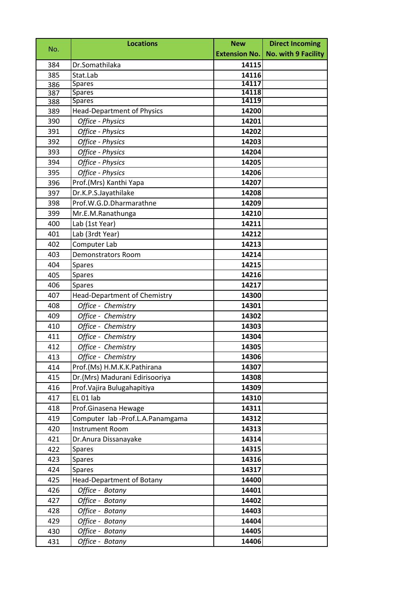| No. | <b>Locations</b>                    | <b>New</b> | <b>Direct Incoming</b>              |
|-----|-------------------------------------|------------|-------------------------------------|
|     |                                     |            | Extension No.   No. with 9 Facility |
| 384 | Dr.Somathilaka                      | 14115      |                                     |
| 385 | Stat.Lab                            | 14116      |                                     |
| 386 | <b>Spares</b>                       | 14117      |                                     |
| 387 | <b>Spares</b>                       | 14118      |                                     |
| 388 | Spares                              | 14119      |                                     |
| 389 | <b>Head-Department of Physics</b>   | 14200      |                                     |
| 390 | Office - Physics                    | 14201      |                                     |
| 391 | Office - Physics                    | 14202      |                                     |
| 392 | Office - Physics                    | 14203      |                                     |
| 393 | Office - Physics                    | 14204      |                                     |
| 394 | Office - Physics                    | 14205      |                                     |
| 395 | Office - Physics                    | 14206      |                                     |
| 396 | Prof.(Mrs) Kanthi Yapa              | 14207      |                                     |
| 397 | Dr.K.P.S.Jayathilake                | 14208      |                                     |
| 398 | Prof.W.G.D.Dharmarathne             | 14209      |                                     |
| 399 | Mr.E.M.Ranathunga                   | 14210      |                                     |
| 400 | Lab (1st Year)                      | 14211      |                                     |
| 401 | Lab (3rdt Year)                     | 14212      |                                     |
| 402 | Computer Lab                        | 14213      |                                     |
| 403 | <b>Demonstrators Room</b>           | 14214      |                                     |
| 404 | Spares                              | 14215      |                                     |
| 405 | <b>Spares</b>                       | 14216      |                                     |
| 406 | <b>Spares</b>                       | 14217      |                                     |
| 407 | <b>Head-Department of Chemistry</b> | 14300      |                                     |
| 408 | Office - Chemistry                  | 14301      |                                     |
| 409 | Office - Chemistry                  | 14302      |                                     |
| 410 | Office - Chemistry                  | 14303      |                                     |
| 411 | Office - Chemistry                  | 14304      |                                     |
| 412 | Office - Chemistry                  | 14305      |                                     |
| 413 | Office - Chemistry                  | 14306      |                                     |
| 414 | Prof.(Ms) H.M.K.K.Pathirana         | 14307      |                                     |
| 415 | Dr.(Mrs) Madurani Edirisooriya      | 14308      |                                     |
| 416 | Prof. Vajira Bulugahapitiya         | 14309      |                                     |
| 417 | EL 01 lab                           | 14310      |                                     |
| 418 | Prof.Ginasena Hewage                | 14311      |                                     |
| 419 | Computer lab -Prof.L.A.Panamgama    | 14312      |                                     |
| 420 | <b>Instrument Room</b>              | 14313      |                                     |
| 421 | Dr. Anura Dissanayake               | 14314      |                                     |
| 422 | <b>Spares</b>                       | 14315      |                                     |
| 423 | <b>Spares</b>                       | 14316      |                                     |
| 424 | <b>Spares</b>                       | 14317      |                                     |
| 425 | <b>Head-Department of Botany</b>    | 14400      |                                     |
| 426 | Office - Botany                     | 14401      |                                     |
| 427 | Office - Botany                     | 14402      |                                     |
| 428 | Office - Botany                     | 14403      |                                     |
| 429 | Office - Botany                     | 14404      |                                     |
| 430 | Office - Botany                     | 14405      |                                     |
| 431 | Office - Botany                     | 14406      |                                     |
|     |                                     |            |                                     |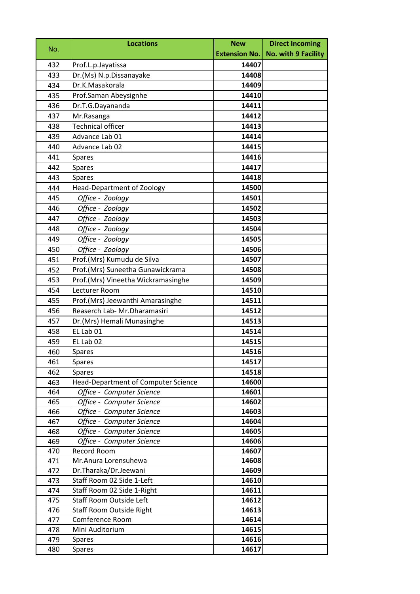|     | <b>Locations</b>                    | <b>New</b>           | <b>Direct Incoming</b>     |
|-----|-------------------------------------|----------------------|----------------------------|
| No. |                                     | <b>Extension No.</b> | <b>No. with 9 Facility</b> |
| 432 | Prof.L.p.Jayatissa                  | 14407                |                            |
| 433 | Dr.(Ms) N.p.Dissanayake             | 14408                |                            |
| 434 | Dr.K.Masakorala                     | 14409                |                            |
| 435 | Prof.Saman Abeysignhe               | 14410                |                            |
| 436 | Dr.T.G.Dayananda                    | 14411                |                            |
| 437 | Mr.Rasanga                          | 14412                |                            |
| 438 | <b>Technical officer</b>            | 14413                |                            |
| 439 | Advance Lab 01                      | 14414                |                            |
| 440 | Advance Lab 02                      | 14415                |                            |
| 441 | <b>Spares</b>                       | 14416                |                            |
| 442 | Spares                              | 14417                |                            |
| 443 | <b>Spares</b>                       | 14418                |                            |
| 444 | <b>Head-Department of Zoology</b>   | 14500                |                            |
| 445 | Office - Zoology                    | 14501                |                            |
| 446 | Office - Zoology                    | 14502                |                            |
| 447 | Office - Zoology                    | 14503                |                            |
| 448 | Office - Zoology                    | 14504                |                            |
| 449 | Office - Zoology                    | 14505                |                            |
| 450 | Office - Zoology                    | 14506                |                            |
| 451 | Prof.(Mrs) Kumudu de Silva          | 14507                |                            |
| 452 | Prof.(Mrs) Suneetha Gunawickrama    | 14508                |                            |
| 453 | Prof.(Mrs) Vineetha Wickramasinghe  | 14509                |                            |
| 454 | Lecturer Room                       | 14510                |                            |
| 455 | Prof.(Mrs) Jeewanthi Amarasinghe    | 14511                |                            |
| 456 | Reaserch Lab- Mr.Dharamasiri        | 14512                |                            |
| 457 | Dr.(Mrs) Hemali Munasinghe          | 14513                |                            |
| 458 | EL Lab 01                           | 14514                |                            |
| 459 | EL Lab 02                           | 14515                |                            |
| 460 | <b>Spares</b>                       | 14516                |                            |
| 461 | Spares                              | 14517                |                            |
| 462 | Spares                              | 14518                |                            |
| 463 | Head-Department of Computer Science | 14600                |                            |
| 464 | Office - Computer Science           | 14601                |                            |
| 465 | Office - Computer Science           | 14602                |                            |
| 466 | Office - Computer Science           | 14603                |                            |
| 467 | Office - Computer Science           | 14604                |                            |
| 468 | Office - Computer Science           | 14605                |                            |
| 469 | Office - Computer Science           | 14606                |                            |
| 470 | Record Room                         | 14607                |                            |
| 471 | Mr.Anura Lorensuhewa                | 14608                |                            |
| 472 | Dr.Tharaka/Dr.Jeewani               | 14609                |                            |
| 473 | Staff Room 02 Side 1-Left           | 14610                |                            |
| 474 | Staff Room 02 Side 1-Right          | 14611                |                            |
| 475 | Staff Room Outside Left             | 14612                |                            |
| 476 | Staff Room Outside Right            | 14613                |                            |
| 477 | Comference Room                     | 14614                |                            |
| 478 | Mini Auditorium                     | 14615                |                            |
| 479 | <b>Spares</b>                       | 14616                |                            |
| 480 | <b>Spares</b>                       | 14617                |                            |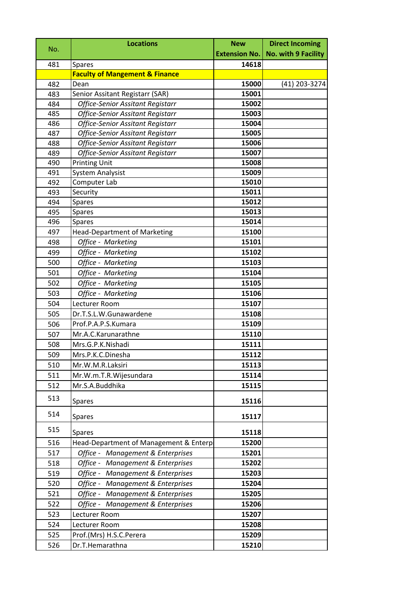| No. | <b>Locations</b>                          | <b>New</b>           | <b>Direct Incoming</b>     |
|-----|-------------------------------------------|----------------------|----------------------------|
|     |                                           | <b>Extension No.</b> | <b>No. with 9 Facility</b> |
| 481 | <b>Spares</b>                             | 14618                |                            |
|     | <b>Faculty of Mangement &amp; Finance</b> |                      |                            |
| 482 | Dean                                      | 15000                | (41) 203-3274              |
| 483 | Senior Assitant Registarr (SAR)           | 15001                |                            |
| 484 | <b>Office-Senior Assitant Registarr</b>   | 15002                |                            |
| 485 | <b>Office-Senior Assitant Registarr</b>   | 15003                |                            |
| 486 | <b>Office-Senior Assitant Registarr</b>   | 15004                |                            |
| 487 | Office-Senior Assitant Registarr          | 15005                |                            |
| 488 | <b>Office-Senior Assitant Registarr</b>   | 15006                |                            |
| 489 | Office-Senior Assitant Registarr          | 15007                |                            |
| 490 | <b>Printing Unit</b>                      | 15008                |                            |
| 491 | <b>System Analysist</b>                   | 15009                |                            |
| 492 | Computer Lab                              | 15010                |                            |
| 493 | Security                                  | 15011                |                            |
| 494 | <b>Spares</b>                             | 15012                |                            |
| 495 | Spares                                    | 15013<br>15014       |                            |
| 496 | <b>Spares</b>                             |                      |                            |
| 497 | <b>Head-Department of Marketing</b>       | 15100                |                            |
| 498 | Office - Marketing                        | 15101                |                            |
| 499 | Office - Marketing                        | 15102                |                            |
| 500 | Office - Marketing                        | 15103                |                            |
| 501 | Office - Marketing                        | 15104                |                            |
| 502 | Office - Marketing                        | 15105                |                            |
| 503 | Office - Marketing                        | 15106                |                            |
| 504 | Lecturer Room                             | 15107                |                            |
| 505 | Dr.T.S.L.W.Gunawardene                    | 15108                |                            |
| 506 | Prof.P.A.P.S.Kumara                       | 15109                |                            |
| 507 | Mr.A.C.Karunarathne                       | 15110                |                            |
| 508 | Mrs.G.P.K.Nishadi                         | 15111                |                            |
| 509 | Mrs.P.K.C.Dinesha                         | 15112                |                            |
| 510 | Mr.W.M.R.Laksiri                          | 15113                |                            |
| 511 | Mr.W.m.T.R.Wijesundara                    | 15114                |                            |
| 512 | Mr.S.A.Buddhika                           | 15115                |                            |
| 513 | <b>Spares</b>                             | 15116                |                            |
| 514 | <b>Spares</b>                             | 15117                |                            |
| 515 | <b>Spares</b>                             | 15118                |                            |
| 516 | Head-Department of Management & Enterp    | 15200                |                            |
| 517 | Office - Management & Enterprises         | 15201                |                            |
| 518 | Office - Management & Enterprises         | 15202                |                            |
| 519 | Office - Management & Enterprises         | 15203                |                            |
| 520 | Office - Management & Enterprises         | 15204                |                            |
| 521 | Office - Management & Enterprises         | 15205                |                            |
| 522 | Office - Management & Enterprises         | 15206                |                            |
| 523 | Lecturer Room                             | 15207                |                            |
| 524 | Lecturer Room                             | 15208                |                            |
| 525 | Prof.(Mrs) H.S.C.Perera                   | 15209                |                            |
| 526 | Dr.T.Hemarathna                           | 15210                |                            |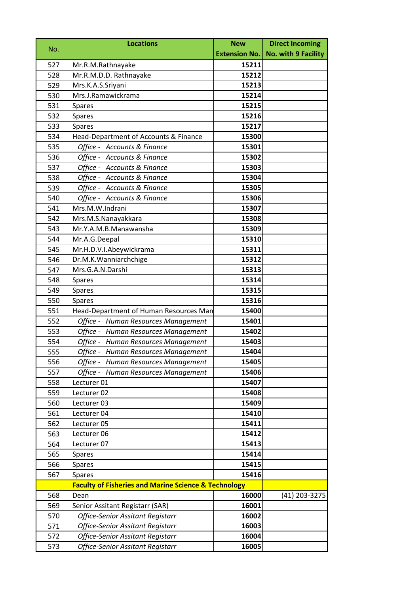| No. | <b>Locations</b>                                                | <b>New</b> | <b>Direct Incoming</b>              |
|-----|-----------------------------------------------------------------|------------|-------------------------------------|
|     |                                                                 |            | Extension No.   No. with 9 Facility |
| 527 | Mr.R.M.Rathnayake                                               | 15211      |                                     |
| 528 | Mr.R.M.D.D. Rathnayake                                          | 15212      |                                     |
| 529 | Mrs.K.A.S.Sriyani                                               | 15213      |                                     |
| 530 | Mrs.J.Ramawickrama                                              | 15214      |                                     |
| 531 | <b>Spares</b>                                                   | 15215      |                                     |
| 532 | <b>Spares</b>                                                   | 15216      |                                     |
| 533 | Spares                                                          | 15217      |                                     |
| 534 | Head-Department of Accounts & Finance                           | 15300      |                                     |
| 535 | Office - Accounts & Finance                                     | 15301      |                                     |
| 536 | Office - Accounts & Finance                                     | 15302      |                                     |
| 537 | Office - Accounts & Finance                                     | 15303      |                                     |
| 538 | Office - Accounts & Finance                                     | 15304      |                                     |
| 539 | Office - Accounts & Finance                                     | 15305      |                                     |
| 540 | Office - Accounts & Finance                                     | 15306      |                                     |
| 541 | Mrs.M.W.Indrani                                                 | 15307      |                                     |
| 542 | Mrs.M.S.Nanayakkara                                             | 15308      |                                     |
| 543 | Mr.Y.A.M.B.Manawansha                                           | 15309      |                                     |
| 544 | Mr.A.G.Deepal                                                   | 15310      |                                     |
| 545 | Mr.H.D.V.I.Abeywickrama                                         | 15311      |                                     |
| 546 | Dr.M.K.Wanniarchchige                                           | 15312      |                                     |
| 547 | Mrs.G.A.N.Darshi                                                | 15313      |                                     |
| 548 | <b>Spares</b>                                                   | 15314      |                                     |
| 549 | <b>Spares</b>                                                   | 15315      |                                     |
| 550 | <b>Spares</b>                                                   | 15316      |                                     |
| 551 | Head-Department of Human Resources Man                          | 15400      |                                     |
| 552 | Office - Human Resources Management                             | 15401      |                                     |
| 553 | Office - Human Resources Management                             | 15402      |                                     |
| 554 | Office - Human Resources Management                             | 15403      |                                     |
| 555 | Office - Human Resources Management                             | 15404      |                                     |
| 556 | Office - Human Resources Management                             | 15405      |                                     |
| 557 | Office - Human Resources Management                             | 15406      |                                     |
| 558 | Lecturer 01                                                     | 15407      |                                     |
| 559 | Lecturer 02                                                     | 15408      |                                     |
| 560 | Lecturer 03                                                     | 15409      |                                     |
| 561 | Lecturer 04                                                     | 15410      |                                     |
| 562 | Lecturer 05                                                     | 15411      |                                     |
| 563 | Lecturer 06                                                     | 15412      |                                     |
| 564 | Lecturer 07                                                     | 15413      |                                     |
| 565 | <b>Spares</b>                                                   | 15414      |                                     |
| 566 | <b>Spares</b>                                                   | 15415      |                                     |
| 567 | <b>Spares</b>                                                   | 15416      |                                     |
|     | <b>Faculty of Fisheries and Marine Science &amp; Technology</b> |            |                                     |
| 568 | Dean                                                            | 16000      | (41) 203-3275                       |
| 569 | Senior Assitant Registarr (SAR)                                 | 16001      |                                     |
| 570 | <b>Office-Senior Assitant Registarr</b>                         | 16002      |                                     |
| 571 | <b>Office-Senior Assitant Registarr</b>                         | 16003      |                                     |
| 572 | <b>Office-Senior Assitant Registarr</b>                         | 16004      |                                     |
| 573 | Office-Senior Assitant Registarr                                | 16005      |                                     |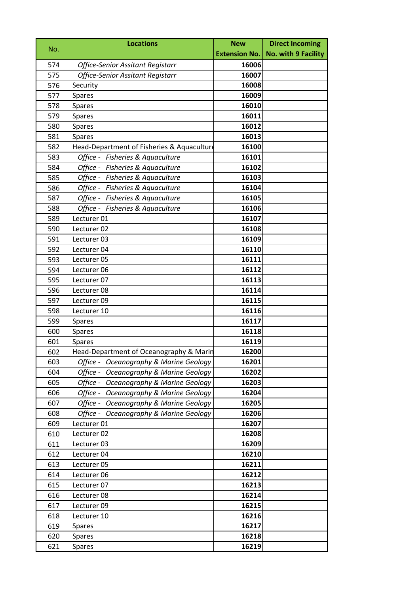| No. | <b>Locations</b>                           | <b>New</b>           | <b>Direct Incoming</b> |
|-----|--------------------------------------------|----------------------|------------------------|
|     |                                            | <b>Extension No.</b> | No. with 9 Facility    |
| 574 | <b>Office-Senior Assitant Registarr</b>    | 16006                |                        |
| 575 | <b>Office-Senior Assitant Registarr</b>    | 16007                |                        |
| 576 | Security                                   | 16008                |                        |
| 577 | <b>Spares</b>                              | 16009                |                        |
| 578 | Spares                                     | 16010                |                        |
| 579 | Spares                                     | 16011                |                        |
| 580 | Spares                                     | 16012                |                        |
| 581 | <b>Spares</b>                              | 16013                |                        |
| 582 | Head-Department of Fisheries & Aquaculture | 16100                |                        |
| 583 | Office - Fisheries & Aquaculture           | 16101                |                        |
| 584 | Office - Fisheries & Aquaculture           | 16102                |                        |
| 585 | Office - Fisheries & Aquaculture           | 16103                |                        |
| 586 | Office - Fisheries & Aquaculture           | 16104                |                        |
| 587 | Office - Fisheries & Aquaculture           | 16105                |                        |
| 588 | Office - Fisheries & Aquaculture           | 16106                |                        |
| 589 | Lecturer 01                                | 16107                |                        |
| 590 | Lecturer 02                                | 16108                |                        |
| 591 | Lecturer 03                                | 16109                |                        |
| 592 | Lecturer 04                                | 16110                |                        |
| 593 | Lecturer 05                                | 16111                |                        |
| 594 | Lecturer 06                                | 16112                |                        |
| 595 | Lecturer 07                                | 16113                |                        |
| 596 | Lecturer 08                                | 16114                |                        |
| 597 | Lecturer 09                                | 16115                |                        |
| 598 | Lecturer 10                                | 16116                |                        |
| 599 | Spares                                     | 16117                |                        |
| 600 | <b>Spares</b>                              | 16118                |                        |
| 601 | Spares                                     | 16119                |                        |
| 602 | Head-Department of Oceanography & Marin    | 16200                |                        |
| 603 | Office - Oceanography & Marine Geology     | 16201                |                        |
| 604 | Office - Oceanography & Marine Geology     | 16202                |                        |
| 605 | Office - Oceanography & Marine Geology     | 16203                |                        |
| 606 | Office - Oceanography & Marine Geology     | 16204                |                        |
| 607 | Office - Oceanography & Marine Geology     | 16205                |                        |
| 608 | Office - Oceanography & Marine Geology     | 16206                |                        |
| 609 | Lecturer 01                                | 16207                |                        |
| 610 | Lecturer 02                                | 16208                |                        |
| 611 | Lecturer 03                                | 16209                |                        |
| 612 | Lecturer 04                                | 16210                |                        |
| 613 | Lecturer 05                                | 16211                |                        |
| 614 | Lecturer 06                                | 16212                |                        |
| 615 | Lecturer 07                                | 16213                |                        |
| 616 | Lecturer 08                                | 16214                |                        |
| 617 | Lecturer 09                                | 16215                |                        |
| 618 | Lecturer 10                                | 16216                |                        |
| 619 | <b>Spares</b>                              | 16217                |                        |
| 620 | Spares                                     | 16218                |                        |
| 621 | <b>Spares</b>                              | 16219                |                        |
|     |                                            |                      |                        |